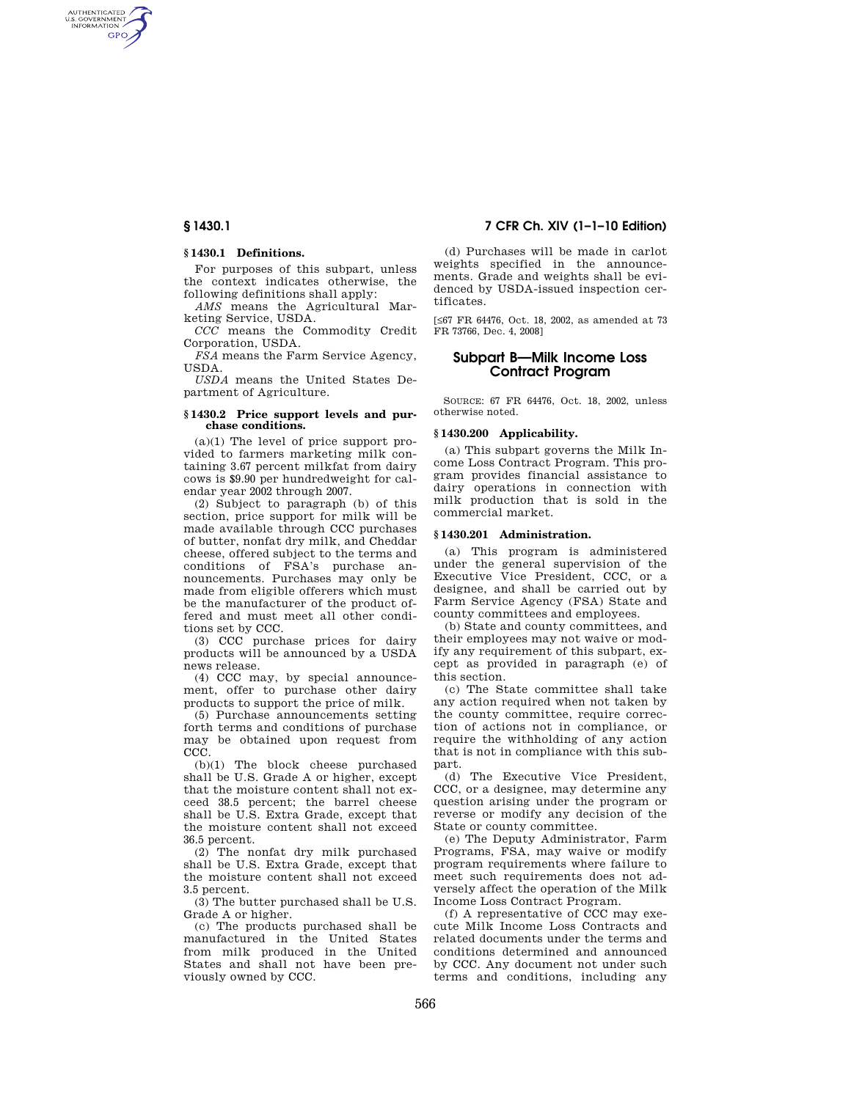AUTHENTICATED<br>U.S. GOVERNMENT<br>INFORMATION **GPO** 

# **§ 1430.1 Definitions.**

For purposes of this subpart, unless the context indicates otherwise, the following definitions shall apply:

*AMS* means the Agricultural Marketing Service, USDA.

*CCC* means the Commodity Credit Corporation, USDA. *FSA* means the Farm Service Agency,

USDA.

*USDA* means the United States Department of Agriculture.

### **§ 1430.2 Price support levels and purchase conditions.**

(a)(1) The level of price support provided to farmers marketing milk containing 3.67 percent milkfat from dairy cows is \$9.90 per hundredweight for calendar year 2002 through 2007.

(2) Subject to paragraph (b) of this section, price support for milk will be made available through CCC purchases of butter, nonfat dry milk, and Cheddar cheese, offered subject to the terms and conditions of FSA's purchase announcements. Purchases may only be made from eligible offerers which must be the manufacturer of the product offered and must meet all other conditions set by CCC.

(3) CCC purchase prices for dairy products will be announced by a USDA news release.

(4) CCC may, by special announcement, offer to purchase other dairy products to support the price of milk.

(5) Purchase announcements setting forth terms and conditions of purchase may be obtained upon request from CCC.

(b)(1) The block cheese purchased shall be U.S. Grade A or higher, except that the moisture content shall not exceed 38.5 percent; the barrel cheese shall be U.S. Extra Grade, except that the moisture content shall not exceed 36.5 percent.

(2) The nonfat dry milk purchased shall be U.S. Extra Grade, except that the moisture content shall not exceed 3.5 percent.

(3) The butter purchased shall be U.S. Grade A or higher.

(c) The products purchased shall be manufactured in the United States from milk produced in the United States and shall not have been previously owned by CCC.

# **§ 1430.1 7 CFR Ch. XIV (1–1–10 Edition)**

(d) Purchases will be made in carlot weights specified in the announcements. Grade and weights shall be evidenced by USDA-issued inspection certificates.

[≤67 FR 64476, Oct. 18, 2002, as amended at 73 FR 73766, Dec. 4, 2008]

# **Subpart B—Milk Income Loss Contract Program**

SOURCE: 67 FR 64476, Oct. 18, 2002, unless otherwise noted.

# **§ 1430.200 Applicability.**

(a) This subpart governs the Milk Income Loss Contract Program. This program provides financial assistance to dairy operations in connection with milk production that is sold in the commercial market.

### **§ 1430.201 Administration.**

(a) This program is administered under the general supervision of the Executive Vice President, CCC, or a designee, and shall be carried out by Farm Service Agency (FSA) State and county committees and employees.

(b) State and county committees, and their employees may not waive or modify any requirement of this subpart, except as provided in paragraph (e) of this section.

(c) The State committee shall take any action required when not taken by the county committee, require correction of actions not in compliance, or require the withholding of any action that is not in compliance with this subpart.

(d) The Executive Vice President, CCC, or a designee, may determine any question arising under the program or reverse or modify any decision of the State or county committee.

(e) The Deputy Administrator, Farm Programs, FSA, may waive or modify program requirements where failure to meet such requirements does not adversely affect the operation of the Milk Income Loss Contract Program.

(f) A representative of CCC may execute Milk Income Loss Contracts and related documents under the terms and conditions determined and announced by CCC. Any document not under such terms and conditions, including any